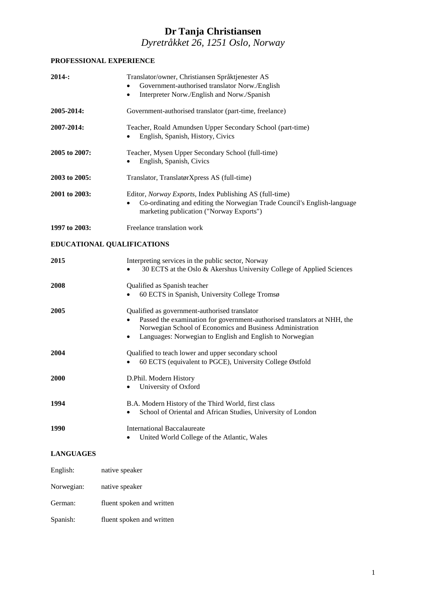# **Dr Tanja Christiansen** *Dyretråkket 26, 1251 Oslo, Norway*

### **PROFESSIONAL EXPERIENCE**

| 2014:            | Translator/owner, Christiansen Språktjenester AS<br>Government-authorised translator Norw./English<br>Interpreter Norw./English and Norw./Spanish<br>٠                                                                                             |
|------------------|----------------------------------------------------------------------------------------------------------------------------------------------------------------------------------------------------------------------------------------------------|
| 2005-2014:       | Government-authorised translator (part-time, freelance)                                                                                                                                                                                            |
| 2007-2014:       | Teacher, Roald Amundsen Upper Secondary School (part-time)<br>English, Spanish, History, Civics<br>٠                                                                                                                                               |
| 2005 to 2007:    | Teacher, Mysen Upper Secondary School (full-time)<br>English, Spanish, Civics                                                                                                                                                                      |
| 2003 to 2005:    | Translator, TranslatørXpress AS (full-time)                                                                                                                                                                                                        |
| 2001 to 2003:    | Editor, Norway Exports, Index Publishing AS (full-time)<br>Co-ordinating and editing the Norwegian Trade Council's English-language<br>marketing publication ("Norway Exports")                                                                    |
| 1997 to 2003:    | Freelance translation work                                                                                                                                                                                                                         |
|                  | EDUCATIONAL QUALIFICATIONS                                                                                                                                                                                                                         |
| 2015             | Interpreting services in the public sector, Norway<br>30 ECTS at the Oslo & Akershus University College of Applied Sciences                                                                                                                        |
| 2008             | Qualified as Spanish teacher<br>60 ECTS in Spanish, University College Tromsø                                                                                                                                                                      |
| 2005             | Qualified as government-authorised translator<br>Passed the examination for government-authorised translators at NHH, the<br>Norwegian School of Economics and Business Administration<br>Languages: Norwegian to English and English to Norwegian |
| 2004             | Qualified to teach lower and upper secondary school<br>60 ECTS (equivalent to PGCE), University College Østfold                                                                                                                                    |
| <b>2000</b>      | D.Phil. Modern History<br>University of Oxford                                                                                                                                                                                                     |
| 1994             | B.A. Modern History of the Third World, first class<br>School of Oriental and African Studies, University of London                                                                                                                                |
| 1990             | <b>International Baccalaureate</b><br>United World College of the Atlantic, Wales<br>٠                                                                                                                                                             |
| <b>LANGUAGES</b> |                                                                                                                                                                                                                                                    |
| English:         | native speaker                                                                                                                                                                                                                                     |
| Norwegian:       | native speaker                                                                                                                                                                                                                                     |

German: fluent spoken and written Spanish: fluent spoken and written